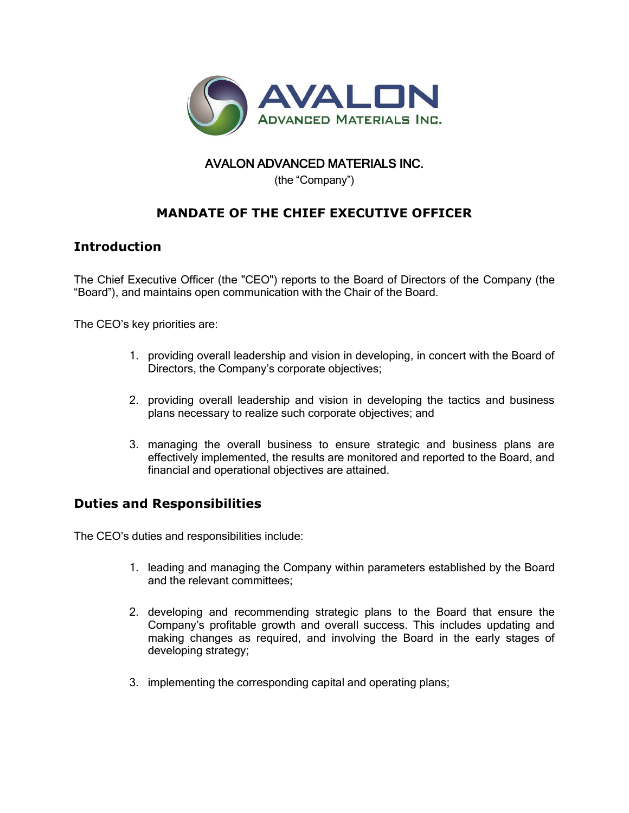

## AVALON ADVANCED MATERIALS INC.

(the "Company")

## **MANDATE OF THE CHIEF EXECUTIVE OFFICER**

## **Introduction**

The Chief Executive Officer (the "CEO") reports to the Board of Directors of the Company (the "Board"), and maintains open communication with the Chair of the Board.

The CEO's key priorities are:

- 1. providing overall leadership and vision in developing, in concert with the Board of Directors, the Company's corporate objectives;
- 2. providing overall leadership and vision in developing the tactics and business plans necessary to realize such corporate objectives; and
- 3. managing the overall business to ensure strategic and business plans are effectively implemented, the results are monitored and reported to the Board, and financial and operational objectives are attained.

## **Duties and Responsibilities**

The CEO's duties and responsibilities include:

- 1. leading and managing the Company within parameters established by the Board and the relevant committees;
- 2. developing and recommending strategic plans to the Board that ensure the Company's profitable growth and overall success. This includes updating and making changes as required, and involving the Board in the early stages of developing strategy;
- 3. implementing the corresponding capital and operating plans;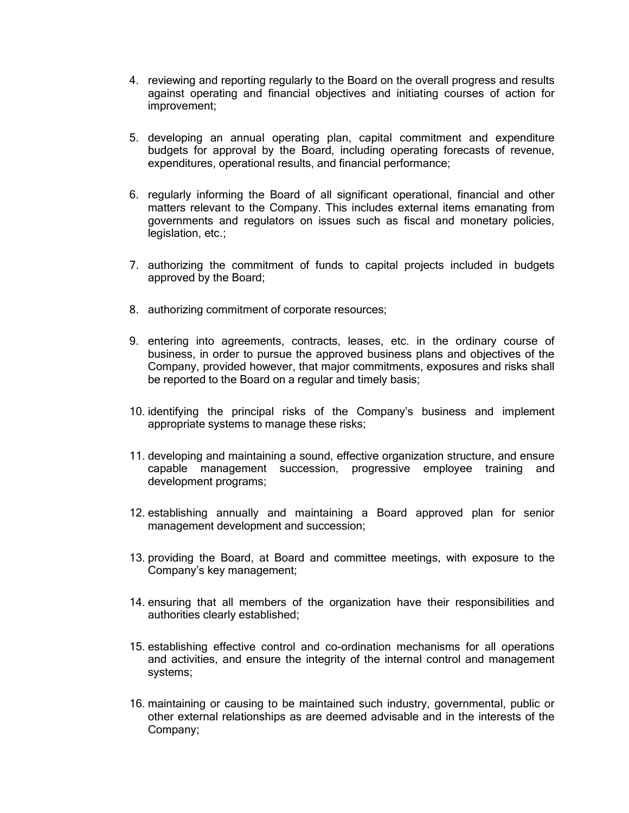- 4. reviewing and reporting regularly to the Board on the overall progress and results against operating and financial objectives and initiating courses of action for improvement;
- 5. developing an annual operating plan, capital commitment and expenditure budgets for approval by the Board, including operating forecasts of revenue, expenditures, operational results, and financial performance;
- 6. regularly informing the Board of all significant operational, financial and other matters relevant to the Company. This includes external items emanating from governments and regulators on issues such as fiscal and monetary policies, legislation, etc.;
- 7. authorizing the commitment of funds to capital projects included in budgets approved by the Board;
- 8. authorizing commitment of corporate resources;
- 9. entering into agreements, contracts, leases, etc. in the ordinary course of business, in order to pursue the approved business plans and objectives of the Company, provided however, that major commitments, exposures and risks shall be reported to the Board on a regular and timely basis;
- 10. identifying the principal risks of the Company's business and implement appropriate systems to manage these risks;
- 11. developing and maintaining a sound, effective organization structure, and ensure capable management succession, progressive employee training and development programs;
- 12. establishing annually and maintaining a Board approved plan for senior management development and succession;
- 13. providing the Board, at Board and committee meetings, with exposure to the Company's key management;
- 14. ensuring that all members of the organization have their responsibilities and authorities clearly established;
- 15. establishing effective control and co-ordination mechanisms for all operations and activities, and ensure the integrity of the internal control and management systems;
- 16. maintaining or causing to be maintained such industry, governmental, public or other external relationships as are deemed advisable and in the interests of the Company;